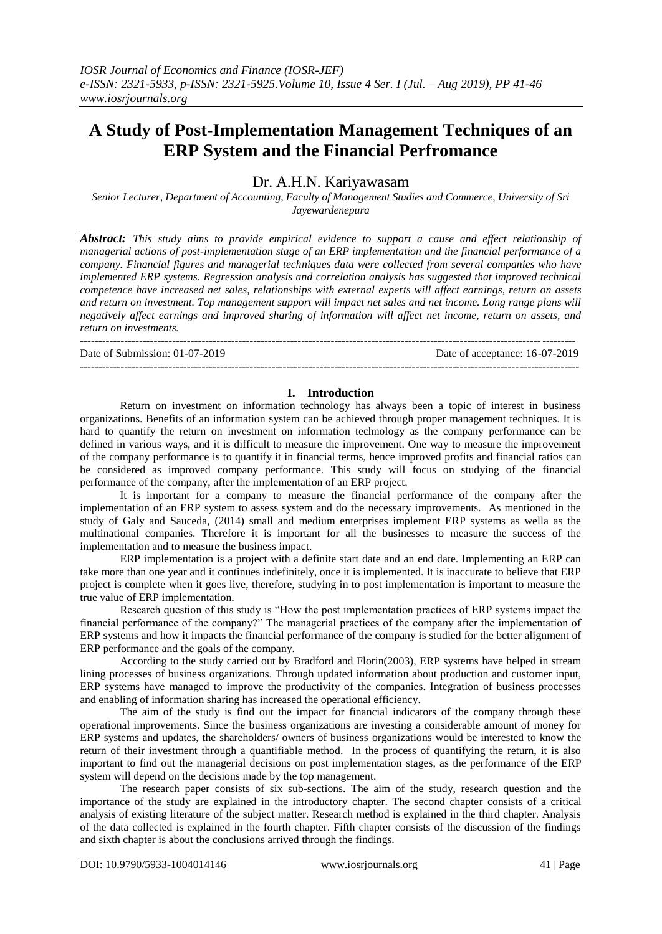# **A Study of Post-Implementation Management Techniques of an ERP System and the Financial Perfromance**

Dr. A.H.N. Kariyawasam

*Senior Lecturer, Department of Accounting, Faculty of Management Studies and Commerce, University of Sri Jayewardenepura*

*Abstract: This study aims to provide empirical evidence to support a cause and effect relationship of managerial actions of post-implementation stage of an ERP implementation and the financial performance of a company. Financial figures and managerial techniques data were collected from several companies who have implemented ERP systems. Regression analysis and correlation analysis has suggested that improved technical competence have increased net sales, relationships with external experts will affect earnings, return on assets and return on investment. Top management support will impact net sales and net income. Long range plans will negatively affect earnings and improved sharing of information will affect net income, return on assets, and return on investments.*

--------------------------------------------------------------------------------------------------------------------------------------

Date of Submission: 01-07-2019 Date of acceptance: 16-07-2019

## **I. Introduction**

---------------------------------------------------------------------------------------------------------------------------------------

Return on investment on information technology has always been a topic of interest in business organizations. Benefits of an information system can be achieved through proper management techniques. It is hard to quantify the return on investment on information technology as the company performance can be defined in various ways, and it is difficult to measure the improvement. One way to measure the improvement of the company performance is to quantify it in financial terms, hence improved profits and financial ratios can be considered as improved company performance. This study will focus on studying of the financial performance of the company, after the implementation of an ERP project.

It is important for a company to measure the financial performance of the company after the implementation of an ERP system to assess system and do the necessary improvements. As mentioned in the study of Galy and Sauceda, (2014) small and medium enterprises implement ERP systems as wella as the multinational companies. Therefore it is important for all the businesses to measure the success of the implementation and to measure the business impact.

ERP implementation is a project with a definite start date and an end date. Implementing an ERP can take more than one year and it continues indefinitely, once it is implemented. It is inaccurate to believe that ERP project is complete when it goes live, therefore, studying in to post implementation is important to measure the true value of ERP implementation.

Research question of this study is "How the post implementation practices of ERP systems impact the financial performance of the company?" The managerial practices of the company after the implementation of ERP systems and how it impacts the financial performance of the company is studied for the better alignment of ERP performance and the goals of the company.

According to the study carried out by Bradford and Florin(2003), ERP systems have helped in stream lining processes of business organizations. Through updated information about production and customer input, ERP systems have managed to improve the productivity of the companies. Integration of business processes and enabling of information sharing has increased the operational efficiency.

The aim of the study is find out the impact for financial indicators of the company through these operational improvements. Since the business organizations are investing a considerable amount of money for ERP systems and updates, the shareholders/ owners of business organizations would be interested to know the return of their investment through a quantifiable method. In the process of quantifying the return, it is also important to find out the managerial decisions on post implementation stages, as the performance of the ERP system will depend on the decisions made by the top management.

The research paper consists of six sub-sections. The aim of the study, research question and the importance of the study are explained in the introductory chapter. The second chapter consists of a critical analysis of existing literature of the subject matter. Research method is explained in the third chapter. Analysis of the data collected is explained in the fourth chapter. Fifth chapter consists of the discussion of the findings and sixth chapter is about the conclusions arrived through the findings.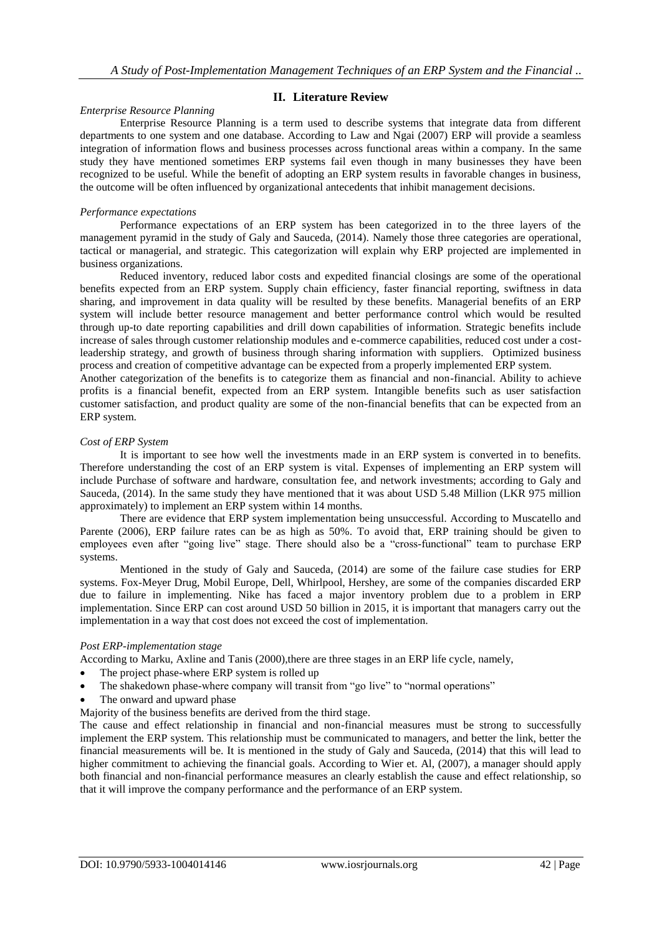## **II. Literature Review**

## *Enterprise Resource Planning*

Enterprise Resource Planning is a term used to describe systems that integrate data from different departments to one system and one database. According to Law and Ngai (2007) ERP will provide a seamless integration of information flows and business processes across functional areas within a company. In the same study they have mentioned sometimes ERP systems fail even though in many businesses they have been recognized to be useful. While the benefit of adopting an ERP system results in favorable changes in business, the outcome will be often influenced by organizational antecedents that inhibit management decisions.

## *Performance expectations*

Performance expectations of an ERP system has been categorized in to the three layers of the management pyramid in the study of Galy and Sauceda, (2014). Namely those three categories are operational, tactical or managerial, and strategic. This categorization will explain why ERP projected are implemented in business organizations.

Reduced inventory, reduced labor costs and expedited financial closings are some of the operational benefits expected from an ERP system. Supply chain efficiency, faster financial reporting, swiftness in data sharing, and improvement in data quality will be resulted by these benefits. Managerial benefits of an ERP system will include better resource management and better performance control which would be resulted through up-to date reporting capabilities and drill down capabilities of information. Strategic benefits include increase of sales through customer relationship modules and e-commerce capabilities, reduced cost under a costleadership strategy, and growth of business through sharing information with suppliers. Optimized business process and creation of competitive advantage can be expected from a properly implemented ERP system.

Another categorization of the benefits is to categorize them as financial and non-financial. Ability to achieve profits is a financial benefit, expected from an ERP system. Intangible benefits such as user satisfaction customer satisfaction, and product quality are some of the non-financial benefits that can be expected from an ERP system.

#### *Cost of ERP System*

It is important to see how well the investments made in an ERP system is converted in to benefits. Therefore understanding the cost of an ERP system is vital. Expenses of implementing an ERP system will include Purchase of software and hardware, consultation fee, and network investments; according to Galy and Sauceda, (2014). In the same study they have mentioned that it was about USD 5.48 Million (LKR 975 million approximately) to implement an ERP system within 14 months.

There are evidence that ERP system implementation being unsuccessful. According to Muscatello and Parente (2006), ERP failure rates can be as high as 50%. To avoid that, ERP training should be given to employees even after "going live" stage. There should also be a "cross-functional" team to purchase ERP systems.

Mentioned in the study of Galy and Sauceda, (2014) are some of the failure case studies for ERP systems. Fox-Meyer Drug, Mobil Europe, Dell, Whirlpool, Hershey, are some of the companies discarded ERP due to failure in implementing. Nike has faced a major inventory problem due to a problem in ERP implementation. Since ERP can cost around USD 50 billion in 2015, it is important that managers carry out the implementation in a way that cost does not exceed the cost of implementation.

## *Post ERP-implementation stage*

According to Marku, Axline and Tanis (2000), there are three stages in an ERP life cycle, namely,

- The project phase-where ERP system is rolled up
- The shakedown phase-where company will transit from "go live" to "normal operations"
- The onward and upward phase
- Majority of the business benefits are derived from the third stage.

The cause and effect relationship in financial and non-financial measures must be strong to successfully implement the ERP system. This relationship must be communicated to managers, and better the link, better the financial measurements will be. It is mentioned in the study of Galy and Sauceda, (2014) that this will lead to higher commitment to achieving the financial goals. According to Wier et. Al, (2007), a manager should apply both financial and non-financial performance measures an clearly establish the cause and effect relationship, so that it will improve the company performance and the performance of an ERP system.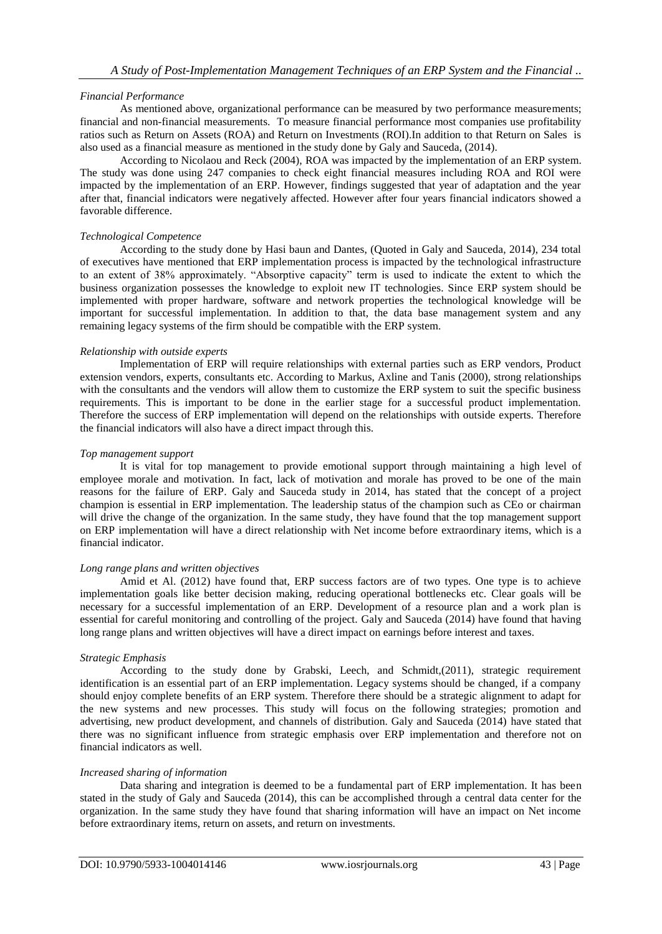## *Financial Performance*

As mentioned above, organizational performance can be measured by two performance measurements; financial and non-financial measurements. To measure financial performance most companies use profitability ratios such as Return on Assets (ROA) and Return on Investments (ROI).In addition to that Return on Sales is also used as a financial measure as mentioned in the study done by Galy and Sauceda, (2014).

According to Nicolaou and Reck (2004), ROA was impacted by the implementation of an ERP system. The study was done using 247 companies to check eight financial measures including ROA and ROI were impacted by the implementation of an ERP. However, findings suggested that year of adaptation and the year after that, financial indicators were negatively affected. However after four years financial indicators showed a favorable difference.

## *Technological Competence*

According to the study done by Hasi baun and Dantes, (Quoted in Galy and Sauceda, 2014), 234 total of executives have mentioned that ERP implementation process is impacted by the technological infrastructure to an extent of 38% approximately. "Absorptive capacity" term is used to indicate the extent to which the business organization possesses the knowledge to exploit new IT technologies. Since ERP system should be implemented with proper hardware, software and network properties the technological knowledge will be important for successful implementation. In addition to that, the data base management system and any remaining legacy systems of the firm should be compatible with the ERP system.

## *Relationship with outside experts*

Implementation of ERP will require relationships with external parties such as ERP vendors, Product extension vendors, experts, consultants etc. According to Markus, Axline and Tanis (2000), strong relationships with the consultants and the vendors will allow them to customize the ERP system to suit the specific business requirements. This is important to be done in the earlier stage for a successful product implementation. Therefore the success of ERP implementation will depend on the relationships with outside experts. Therefore the financial indicators will also have a direct impact through this.

## *Top management support*

It is vital for top management to provide emotional support through maintaining a high level of employee morale and motivation. In fact, lack of motivation and morale has proved to be one of the main reasons for the failure of ERP. Galy and Sauceda study in 2014, has stated that the concept of a project champion is essential in ERP implementation. The leadership status of the champion such as CEo or chairman will drive the change of the organization. In the same study, they have found that the top management support on ERP implementation will have a direct relationship with Net income before extraordinary items, which is a financial indicator.

## *Long range plans and written objectives*

Amid et Al. (2012) have found that, ERP success factors are of two types. One type is to achieve implementation goals like better decision making, reducing operational bottlenecks etc. Clear goals will be necessary for a successful implementation of an ERP. Development of a resource plan and a work plan is essential for careful monitoring and controlling of the project. Galy and Sauceda (2014) have found that having long range plans and written objectives will have a direct impact on earnings before interest and taxes.

## *Strategic Emphasis*

According to the study done by Grabski, Leech, and Schmidt,(2011), strategic requirement identification is an essential part of an ERP implementation. Legacy systems should be changed, if a company should enjoy complete benefits of an ERP system. Therefore there should be a strategic alignment to adapt for the new systems and new processes. This study will focus on the following strategies; promotion and advertising, new product development, and channels of distribution. Galy and Sauceda (2014) have stated that there was no significant influence from strategic emphasis over ERP implementation and therefore not on financial indicators as well.

## *Increased sharing of information*

Data sharing and integration is deemed to be a fundamental part of ERP implementation. It has been stated in the study of Galy and Sauceda (2014), this can be accomplished through a central data center for the organization. In the same study they have found that sharing information will have an impact on Net income before extraordinary items, return on assets, and return on investments.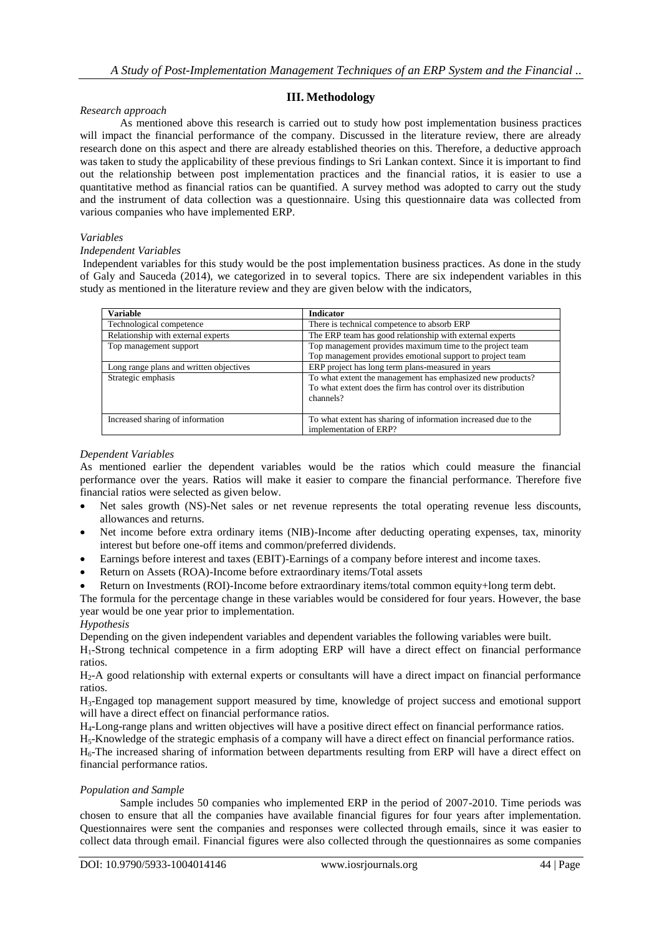## **III. Methodology**

## *Research approach*

As mentioned above this research is carried out to study how post implementation business practices will impact the financial performance of the company. Discussed in the literature review, there are already research done on this aspect and there are already established theories on this. Therefore, a deductive approach was taken to study the applicability of these previous findings to Sri Lankan context. Since it is important to find out the relationship between post implementation practices and the financial ratios, it is easier to use a quantitative method as financial ratios can be quantified. A survey method was adopted to carry out the study and the instrument of data collection was a questionnaire. Using this questionnaire data was collected from various companies who have implemented ERP.

## *Variables*

## *Independent Variables*

Independent variables for this study would be the post implementation business practices. As done in the study of Galy and Sauceda (2014), we categorized in to several topics. There are six independent variables in this study as mentioned in the literature review and they are given below with the indicators,

| <b>Variable</b>                         | <b>Indicator</b>                                                                                                                          |
|-----------------------------------------|-------------------------------------------------------------------------------------------------------------------------------------------|
| Technological competence                | There is technical competence to absorb ERP                                                                                               |
| Relationship with external experts      | The ERP team has good relationship with external experts                                                                                  |
| Top management support                  | Top management provides maximum time to the project team<br>Top management provides emotional support to project team                     |
| Long range plans and written objectives | ERP project has long term plans-measured in years                                                                                         |
| Strategic emphasis                      | To what extent the management has emphasized new products?<br>To what extent does the firm has control over its distribution<br>channels? |
| Increased sharing of information        | To what extent has sharing of information increased due to the<br>implementation of ERP?                                                  |

## *Dependent Variables*

As mentioned earlier the dependent variables would be the ratios which could measure the financial performance over the years. Ratios will make it easier to compare the financial performance. Therefore five financial ratios were selected as given below.

- Net sales growth (NS)-Net sales or net revenue represents the total operating revenue less discounts, allowances and returns.
- Net income before extra ordinary items (NIB)-Income after deducting operating expenses, tax, minority interest but before one-off items and common/preferred dividends.
- Earnings before interest and taxes (EBIT)-Earnings of a company before interest and income taxes.
- Return on Assets (ROA)-Income before extraordinary items/Total assets
- Return on Investments (ROI)-Income before extraordinary items/total common equity+long term debt.

The formula for the percentage change in these variables would be considered for four years. However, the base year would be one year prior to implementation.

## *Hypothesis*

Depending on the given independent variables and dependent variables the following variables were built.

H1-Strong technical competence in a firm adopting ERP will have a direct effect on financial performance ratios.

H2-A good relationship with external experts or consultants will have a direct impact on financial performance ratios.

H3-Engaged top management support measured by time, knowledge of project success and emotional support will have a direct effect on financial performance ratios.

H4-Long-range plans and written objectives will have a positive direct effect on financial performance ratios.

H5-Knowledge of the strategic emphasis of a company will have a direct effect on financial performance ratios.

H<sub>6</sub>-The increased sharing of information between departments resulting from ERP will have a direct effect on financial performance ratios.

## *Population and Sample*

Sample includes 50 companies who implemented ERP in the period of 2007-2010. Time periods was chosen to ensure that all the companies have available financial figures for four years after implementation. Questionnaires were sent the companies and responses were collected through emails, since it was easier to collect data through email. Financial figures were also collected through the questionnaires as some companies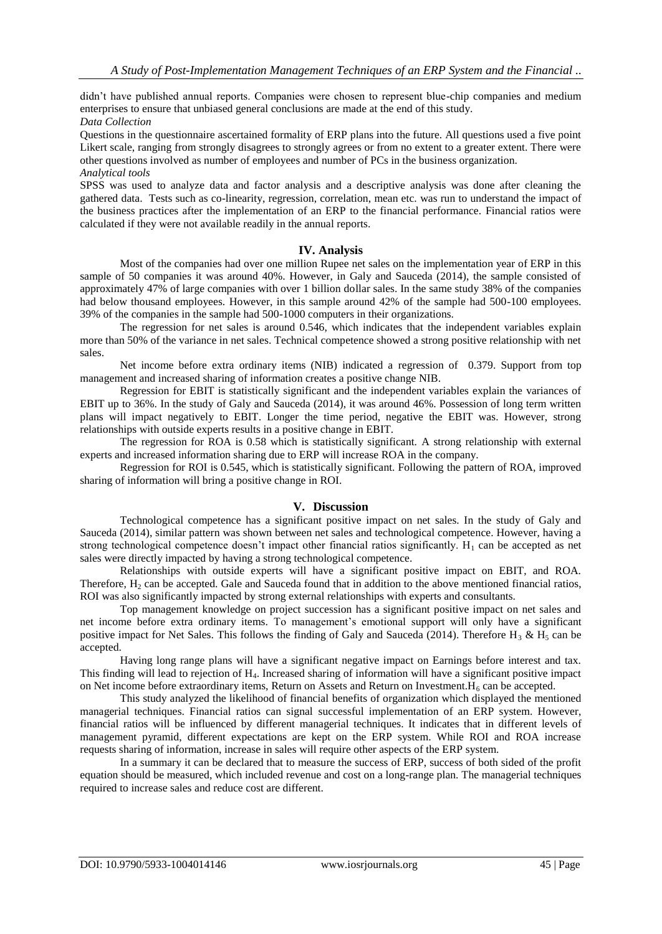didn't have published annual reports. Companies were chosen to represent blue-chip companies and medium enterprises to ensure that unbiased general conclusions are made at the end of this study. *Data Collection*

Questions in the questionnaire ascertained formality of ERP plans into the future. All questions used a five point Likert scale, ranging from strongly disagrees to strongly agrees or from no extent to a greater extent. There were

other questions involved as number of employees and number of PCs in the business organization. *Analytical tools*

SPSS was used to analyze data and factor analysis and a descriptive analysis was done after cleaning the gathered data. Tests such as co-linearity, regression, correlation, mean etc. was run to understand the impact of the business practices after the implementation of an ERP to the financial performance. Financial ratios were calculated if they were not available readily in the annual reports.

## **IV. Analysis**

Most of the companies had over one million Rupee net sales on the implementation year of ERP in this sample of 50 companies it was around 40%. However, in Galy and Sauceda (2014), the sample consisted of approximately 47% of large companies with over 1 billion dollar sales. In the same study 38% of the companies had below thousand employees. However, in this sample around 42% of the sample had 500-100 employees. 39% of the companies in the sample had 500-1000 computers in their organizations.

The regression for net sales is around 0.546, which indicates that the independent variables explain more than 50% of the variance in net sales. Technical competence showed a strong positive relationship with net sales.

Net income before extra ordinary items (NIB) indicated a regression of 0.379. Support from top management and increased sharing of information creates a positive change NIB.

Regression for EBIT is statistically significant and the independent variables explain the variances of EBIT up to 36%. In the study of Galy and Sauceda (2014), it was around 46%. Possession of long term written plans will impact negatively to EBIT. Longer the time period, negative the EBIT was. However, strong relationships with outside experts results in a positive change in EBIT.

The regression for ROA is 0.58 which is statistically significant. A strong relationship with external experts and increased information sharing due to ERP will increase ROA in the company.

Regression for ROI is 0.545, which is statistically significant. Following the pattern of ROA, improved sharing of information will bring a positive change in ROI.

## **V. Discussion**

Technological competence has a significant positive impact on net sales. In the study of Galy and Sauceda (2014), similar pattern was shown between net sales and technological competence. However, having a strong technological competence doesn't impact other financial ratios significantly.  $H_1$  can be accepted as net sales were directly impacted by having a strong technological competence.

Relationships with outside experts will have a significant positive impact on EBIT, and ROA. Therefore,  $H_2$  can be accepted. Gale and Sauceda found that in addition to the above mentioned financial ratios, ROI was also significantly impacted by strong external relationships with experts and consultants.

Top management knowledge on project succession has a significant positive impact on net sales and net income before extra ordinary items. To management's emotional support will only have a significant positive impact for Net Sales. This follows the finding of Galy and Sauceda (2014). Therefore H<sub>3</sub> & H<sub>5</sub> can be accepted.

Having long range plans will have a significant negative impact on Earnings before interest and tax. This finding will lead to rejection of H4. Increased sharing of information will have a significant positive impact on Net income before extraordinary items, Return on Assets and Return on Investment. $H_6$  can be accepted.

This study analyzed the likelihood of financial benefits of organization which displayed the mentioned managerial techniques. Financial ratios can signal successful implementation of an ERP system. However, financial ratios will be influenced by different managerial techniques. It indicates that in different levels of management pyramid, different expectations are kept on the ERP system. While ROI and ROA increase requests sharing of information, increase in sales will require other aspects of the ERP system.

In a summary it can be declared that to measure the success of ERP, success of both sided of the profit equation should be measured, which included revenue and cost on a long-range plan. The managerial techniques required to increase sales and reduce cost are different.